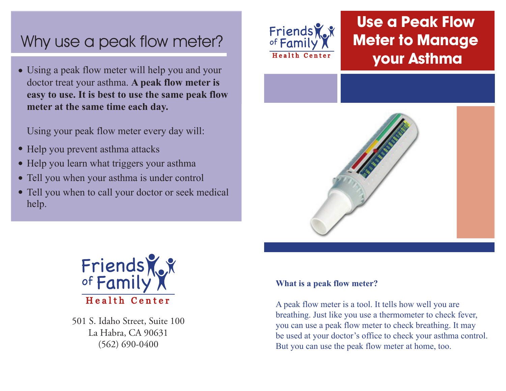# Why use a peak flow meter?

Using a peak flow meter will help you and your doctor treat your asthma. **A peak flow meter is easy to use. It is best to use the same peak flow meter at the same time each day.**

Using your peak flow meter every day will:

- Help you prevent asthma attacks
- Help you learn what triggers your asthma
- Tell you when your asthma is under control
- Tell you when to call your doctor or seek medical help.



## **Use a Peak Flow Meter to Manage your Asthma**





501 S. Idaho Street, Suite 100 La Habra, CA 90631 (562) 690-0400

#### **What is a peak flow meter?**

A peak flow meter is a tool. It tells how well you are breathing. Just like you use a thermometer to check fever, you can use a peak flow meter to check breathing. It may be used at your doctor's office to check your asthma control. But you can use the peak flow meter at home, too.